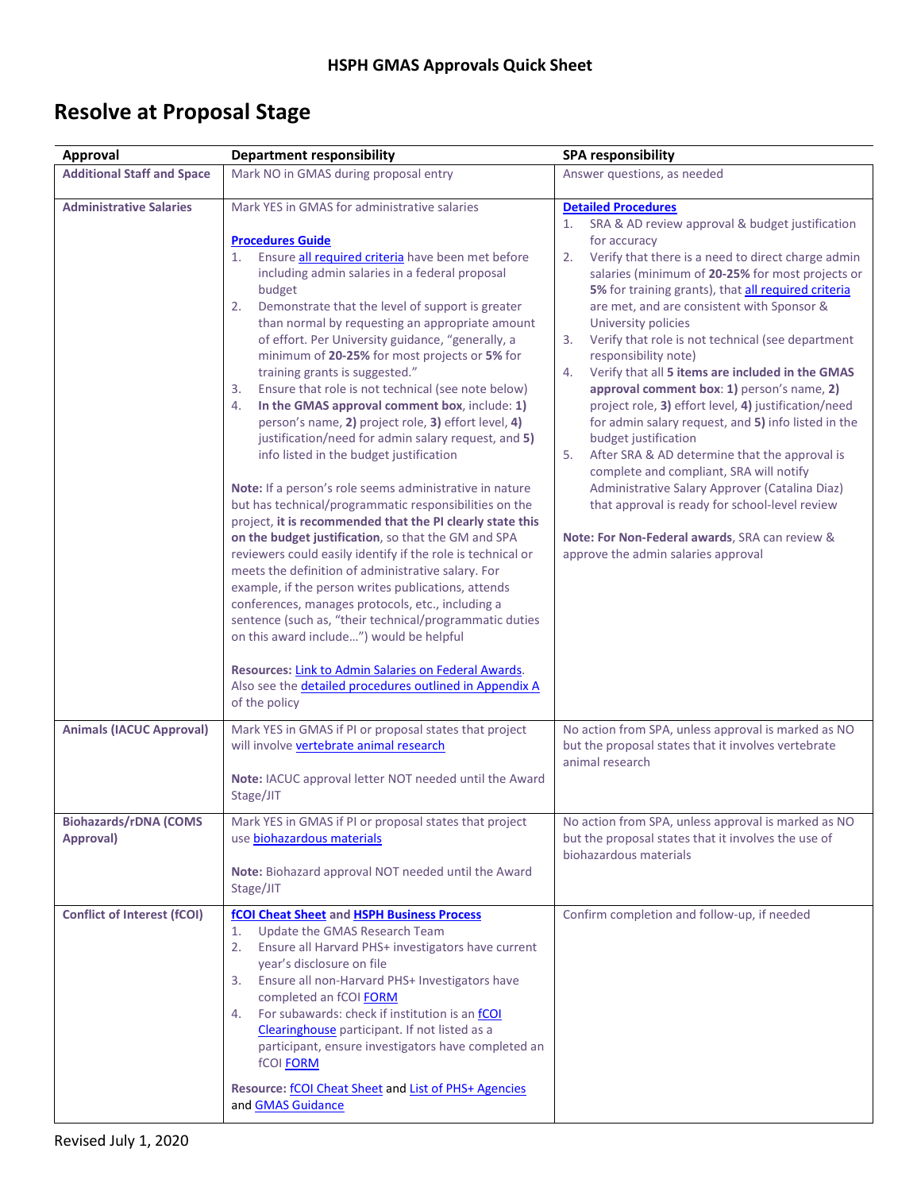## **Resolve at Proposal Stage**

| <b>Approval</b>                                                               | <b>Department responsibility</b>                                                                                                                                                                                                                                                                                                                                                                                                                                                                                                                                                                                                                                                                                                                                                                                                                                                                                                                                                                                                                                                                                                                                                                                                                                                                                                                                                                                                                            | <b>SPA responsibility</b>                                                                                                                                                                                                                                                                                                                                                                                                                                                                                                                                                                                                                                                                                                                                                                                                                                                                                                                                                        |
|-------------------------------------------------------------------------------|-------------------------------------------------------------------------------------------------------------------------------------------------------------------------------------------------------------------------------------------------------------------------------------------------------------------------------------------------------------------------------------------------------------------------------------------------------------------------------------------------------------------------------------------------------------------------------------------------------------------------------------------------------------------------------------------------------------------------------------------------------------------------------------------------------------------------------------------------------------------------------------------------------------------------------------------------------------------------------------------------------------------------------------------------------------------------------------------------------------------------------------------------------------------------------------------------------------------------------------------------------------------------------------------------------------------------------------------------------------------------------------------------------------------------------------------------------------|----------------------------------------------------------------------------------------------------------------------------------------------------------------------------------------------------------------------------------------------------------------------------------------------------------------------------------------------------------------------------------------------------------------------------------------------------------------------------------------------------------------------------------------------------------------------------------------------------------------------------------------------------------------------------------------------------------------------------------------------------------------------------------------------------------------------------------------------------------------------------------------------------------------------------------------------------------------------------------|
| <b>Additional Staff and Space</b>                                             | Mark NO in GMAS during proposal entry                                                                                                                                                                                                                                                                                                                                                                                                                                                                                                                                                                                                                                                                                                                                                                                                                                                                                                                                                                                                                                                                                                                                                                                                                                                                                                                                                                                                                       | Answer questions, as needed                                                                                                                                                                                                                                                                                                                                                                                                                                                                                                                                                                                                                                                                                                                                                                                                                                                                                                                                                      |
| <b>Administrative Salaries</b>                                                | Mark YES in GMAS for administrative salaries<br><b>Procedures Guide</b><br>Ensure all required criteria have been met before<br>1.<br>including admin salaries in a federal proposal<br>budget<br>2.<br>Demonstrate that the level of support is greater<br>than normal by requesting an appropriate amount<br>of effort. Per University guidance, "generally, a<br>minimum of 20-25% for most projects or 5% for<br>training grants is suggested."<br>Ensure that role is not technical (see note below)<br>3.<br>In the GMAS approval comment box, include: 1)<br>4.<br>person's name, 2) project role, 3) effort level, 4)<br>justification/need for admin salary request, and 5)<br>info listed in the budget justification<br>Note: If a person's role seems administrative in nature<br>but has technical/programmatic responsibilities on the<br>project, it is recommended that the PI clearly state this<br>on the budget justification, so that the GM and SPA<br>reviewers could easily identify if the role is technical or<br>meets the definition of administrative salary. For<br>example, if the person writes publications, attends<br>conferences, manages protocols, etc., including a<br>sentence (such as, "their technical/programmatic duties<br>on this award include") would be helpful<br>Resources: Link to Admin Salaries on Federal Awards.<br>Also see the <i>detailed procedures outlined in Appendix A</i><br>of the policy | <b>Detailed Procedures</b><br>SRA & AD review approval & budget justification<br>1.<br>for accuracy<br>Verify that there is a need to direct charge admin<br>2.<br>salaries (minimum of 20-25% for most projects or<br>5% for training grants), that all required criteria<br>are met, and are consistent with Sponsor &<br>University policies<br>Verify that role is not technical (see department<br>3.<br>responsibility note)<br>Verify that all 5 items are included in the GMAS<br>4.<br>approval comment box: 1) person's name, 2)<br>project role, 3) effort level, 4) justification/need<br>for admin salary request, and 5) info listed in the<br>budget justification<br>After SRA & AD determine that the approval is<br>5.<br>complete and compliant, SRA will notify<br>Administrative Salary Approver (Catalina Diaz)<br>that approval is ready for school-level review<br>Note: For Non-Federal awards, SRA can review &<br>approve the admin salaries approval |
| <b>Animals (IACUC Approval)</b><br><b>Biohazards/rDNA (COMS)</b><br>Approval) | Mark YES in GMAS if PI or proposal states that project<br>will involve vertebrate animal research<br>Note: IACUC approval letter NOT needed until the Award<br>Stage/JIT<br>Mark YES in GMAS if PI or proposal states that project<br>use biohazardous materials                                                                                                                                                                                                                                                                                                                                                                                                                                                                                                                                                                                                                                                                                                                                                                                                                                                                                                                                                                                                                                                                                                                                                                                            | No action from SPA, unless approval is marked as NO<br>but the proposal states that it involves vertebrate<br>animal research<br>No action from SPA, unless approval is marked as NO<br>but the proposal states that it involves the use of                                                                                                                                                                                                                                                                                                                                                                                                                                                                                                                                                                                                                                                                                                                                      |
|                                                                               | Note: Biohazard approval NOT needed until the Award<br>Stage/JIT                                                                                                                                                                                                                                                                                                                                                                                                                                                                                                                                                                                                                                                                                                                                                                                                                                                                                                                                                                                                                                                                                                                                                                                                                                                                                                                                                                                            | biohazardous materials                                                                                                                                                                                                                                                                                                                                                                                                                                                                                                                                                                                                                                                                                                                                                                                                                                                                                                                                                           |
| <b>Conflict of Interest (fCOI)</b>                                            | fCOI Cheat Sheet and HSPH Business Process<br>Update the GMAS Research Team<br>1.<br>Ensure all Harvard PHS+ investigators have current<br>2.<br>year's disclosure on file<br>Ensure all non-Harvard PHS+ Investigators have<br>3.<br>completed an fCOI FORM<br>For subawards: check if institution is an fCOI<br>4.<br>Clearinghouse participant. If not listed as a<br>participant, ensure investigators have completed an<br>fCOI <b>FORM</b><br>Resource: fCOI Cheat Sheet and List of PHS+ Agencies<br>and <b>GMAS</b> Guidance                                                                                                                                                                                                                                                                                                                                                                                                                                                                                                                                                                                                                                                                                                                                                                                                                                                                                                                        | Confirm completion and follow-up, if needed                                                                                                                                                                                                                                                                                                                                                                                                                                                                                                                                                                                                                                                                                                                                                                                                                                                                                                                                      |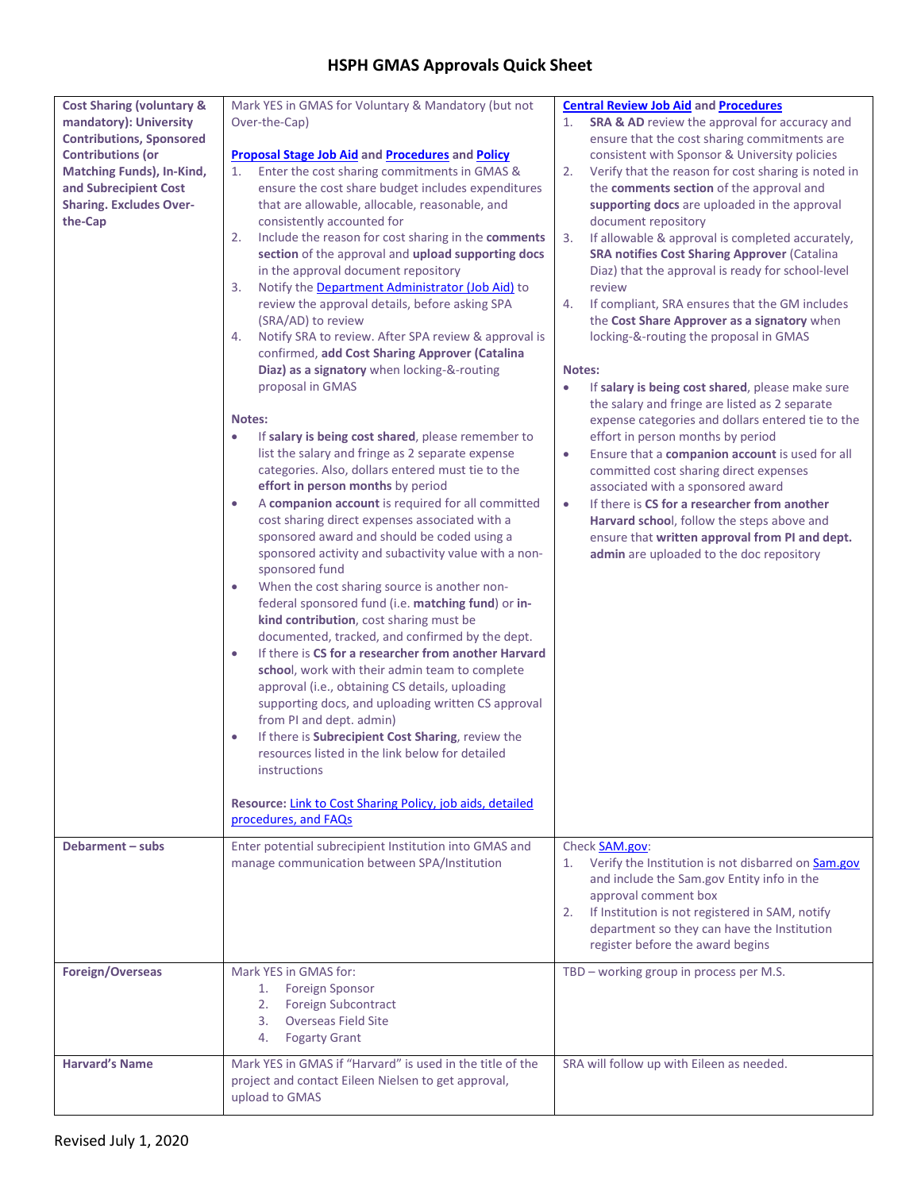| <b>Cost Sharing (voluntary &amp;</b><br>mandatory): University                                                                                                        | Mark YES in GMAS for Voluntary & Mandatory (but not<br>Over-the-Cap)                                                                                                                                                                                                                                                                                                                                                                                                                                                                                                                                                                                                                                                                                                                                                                                                                                                                                                                                                                                                                                                                                                                                                                                                                                                                                                                                                                                                                                                                                                                                                                                                                                                                                                                                                         | <b>Central Review Job Aid and Procedures</b><br><b>SRA &amp; AD</b> review the approval for accuracy and<br>1.                                                                                                                                                                                                                                                                                                                                                                                                                                                                                                                                                                                                                                                                                                                                                                                                                                                                                                                                                                                                                                                                                |
|-----------------------------------------------------------------------------------------------------------------------------------------------------------------------|------------------------------------------------------------------------------------------------------------------------------------------------------------------------------------------------------------------------------------------------------------------------------------------------------------------------------------------------------------------------------------------------------------------------------------------------------------------------------------------------------------------------------------------------------------------------------------------------------------------------------------------------------------------------------------------------------------------------------------------------------------------------------------------------------------------------------------------------------------------------------------------------------------------------------------------------------------------------------------------------------------------------------------------------------------------------------------------------------------------------------------------------------------------------------------------------------------------------------------------------------------------------------------------------------------------------------------------------------------------------------------------------------------------------------------------------------------------------------------------------------------------------------------------------------------------------------------------------------------------------------------------------------------------------------------------------------------------------------------------------------------------------------------------------------------------------------|-----------------------------------------------------------------------------------------------------------------------------------------------------------------------------------------------------------------------------------------------------------------------------------------------------------------------------------------------------------------------------------------------------------------------------------------------------------------------------------------------------------------------------------------------------------------------------------------------------------------------------------------------------------------------------------------------------------------------------------------------------------------------------------------------------------------------------------------------------------------------------------------------------------------------------------------------------------------------------------------------------------------------------------------------------------------------------------------------------------------------------------------------------------------------------------------------|
| <b>Contributions, Sponsored</b><br><b>Contributions (or</b><br><b>Matching Funds), In-Kind,</b><br>and Subrecipient Cost<br><b>Sharing. Excludes Over-</b><br>the-Cap | <b>Proposal Stage Job Aid and Procedures and Policy</b><br>Enter the cost sharing commitments in GMAS &<br>1.<br>ensure the cost share budget includes expenditures<br>that are allowable, allocable, reasonable, and<br>consistently accounted for<br>Include the reason for cost sharing in the comments<br>2.<br>section of the approval and upload supporting docs<br>in the approval document repository<br>3.<br>Notify the Department Administrator (Job Aid) to<br>review the approval details, before asking SPA<br>(SRA/AD) to review<br>Notify SRA to review. After SPA review & approval is<br>4.<br>confirmed, add Cost Sharing Approver (Catalina<br>Diaz) as a signatory when locking-&-routing<br>proposal in GMAS<br>Notes:<br>If salary is being cost shared, please remember to<br>$\bullet$<br>list the salary and fringe as 2 separate expense<br>categories. Also, dollars entered must tie to the<br>effort in person months by period<br>A companion account is required for all committed<br>$\bullet$<br>cost sharing direct expenses associated with a<br>sponsored award and should be coded using a<br>sponsored activity and subactivity value with a non-<br>sponsored fund<br>When the cost sharing source is another non-<br>$\bullet$<br>federal sponsored fund (i.e. matching fund) or in-<br>kind contribution, cost sharing must be<br>documented, tracked, and confirmed by the dept.<br>If there is CS for a researcher from another Harvard<br>$\bullet$<br>school, work with their admin team to complete<br>approval (i.e., obtaining CS details, uploading<br>supporting docs, and uploading written CS approval<br>from PI and dept. admin)<br>If there is Subrecipient Cost Sharing, review the<br>$\bullet$<br>resources listed in the link below for detailed<br>instructions | ensure that the cost sharing commitments are<br>consistent with Sponsor & University policies<br>2.<br>Verify that the reason for cost sharing is noted in<br>the comments section of the approval and<br>supporting docs are uploaded in the approval<br>document repository<br>If allowable & approval is completed accurately,<br>3.<br><b>SRA notifies Cost Sharing Approver (Catalina</b><br>Diaz) that the approval is ready for school-level<br>review<br>If compliant, SRA ensures that the GM includes<br>4.<br>the Cost Share Approver as a signatory when<br>locking-&-routing the proposal in GMAS<br>Notes:<br>If salary is being cost shared, please make sure<br>$\bullet$<br>the salary and fringe are listed as 2 separate<br>expense categories and dollars entered tie to the<br>effort in person months by period<br>Ensure that a companion account is used for all<br>$\bullet$<br>committed cost sharing direct expenses<br>associated with a sponsored award<br>If there is CS for a researcher from another<br>$\bullet$<br>Harvard school, follow the steps above and<br>ensure that written approval from PI and dept.<br>admin are uploaded to the doc repository |
|                                                                                                                                                                       | Resource: Link to Cost Sharing Policy, job aids, detailed<br>procedures, and FAQs                                                                                                                                                                                                                                                                                                                                                                                                                                                                                                                                                                                                                                                                                                                                                                                                                                                                                                                                                                                                                                                                                                                                                                                                                                                                                                                                                                                                                                                                                                                                                                                                                                                                                                                                            |                                                                                                                                                                                                                                                                                                                                                                                                                                                                                                                                                                                                                                                                                                                                                                                                                                                                                                                                                                                                                                                                                                                                                                                               |
| Debarment - subs                                                                                                                                                      | Enter potential subrecipient Institution into GMAS and<br>manage communication between SPA/Institution                                                                                                                                                                                                                                                                                                                                                                                                                                                                                                                                                                                                                                                                                                                                                                                                                                                                                                                                                                                                                                                                                                                                                                                                                                                                                                                                                                                                                                                                                                                                                                                                                                                                                                                       | Check SAM.gov:<br>Verify the Institution is not disbarred on Sam.gov<br>1.<br>and include the Sam.gov Entity info in the<br>approval comment box<br>If Institution is not registered in SAM, notify<br>2.<br>department so they can have the Institution<br>register before the award begins                                                                                                                                                                                                                                                                                                                                                                                                                                                                                                                                                                                                                                                                                                                                                                                                                                                                                                  |
| Foreign/Overseas                                                                                                                                                      | Mark YES in GMAS for:<br><b>Foreign Sponsor</b><br>1.<br>2. Foreign Subcontract<br>3. Overseas Field Site<br>4. Fogarty Grant                                                                                                                                                                                                                                                                                                                                                                                                                                                                                                                                                                                                                                                                                                                                                                                                                                                                                                                                                                                                                                                                                                                                                                                                                                                                                                                                                                                                                                                                                                                                                                                                                                                                                                | TBD - working group in process per M.S.                                                                                                                                                                                                                                                                                                                                                                                                                                                                                                                                                                                                                                                                                                                                                                                                                                                                                                                                                                                                                                                                                                                                                       |
| <b>Harvard's Name</b>                                                                                                                                                 | Mark YES in GMAS if "Harvard" is used in the title of the<br>project and contact Eileen Nielsen to get approval,<br>upload to GMAS                                                                                                                                                                                                                                                                                                                                                                                                                                                                                                                                                                                                                                                                                                                                                                                                                                                                                                                                                                                                                                                                                                                                                                                                                                                                                                                                                                                                                                                                                                                                                                                                                                                                                           | SRA will follow up with Eileen as needed.                                                                                                                                                                                                                                                                                                                                                                                                                                                                                                                                                                                                                                                                                                                                                                                                                                                                                                                                                                                                                                                                                                                                                     |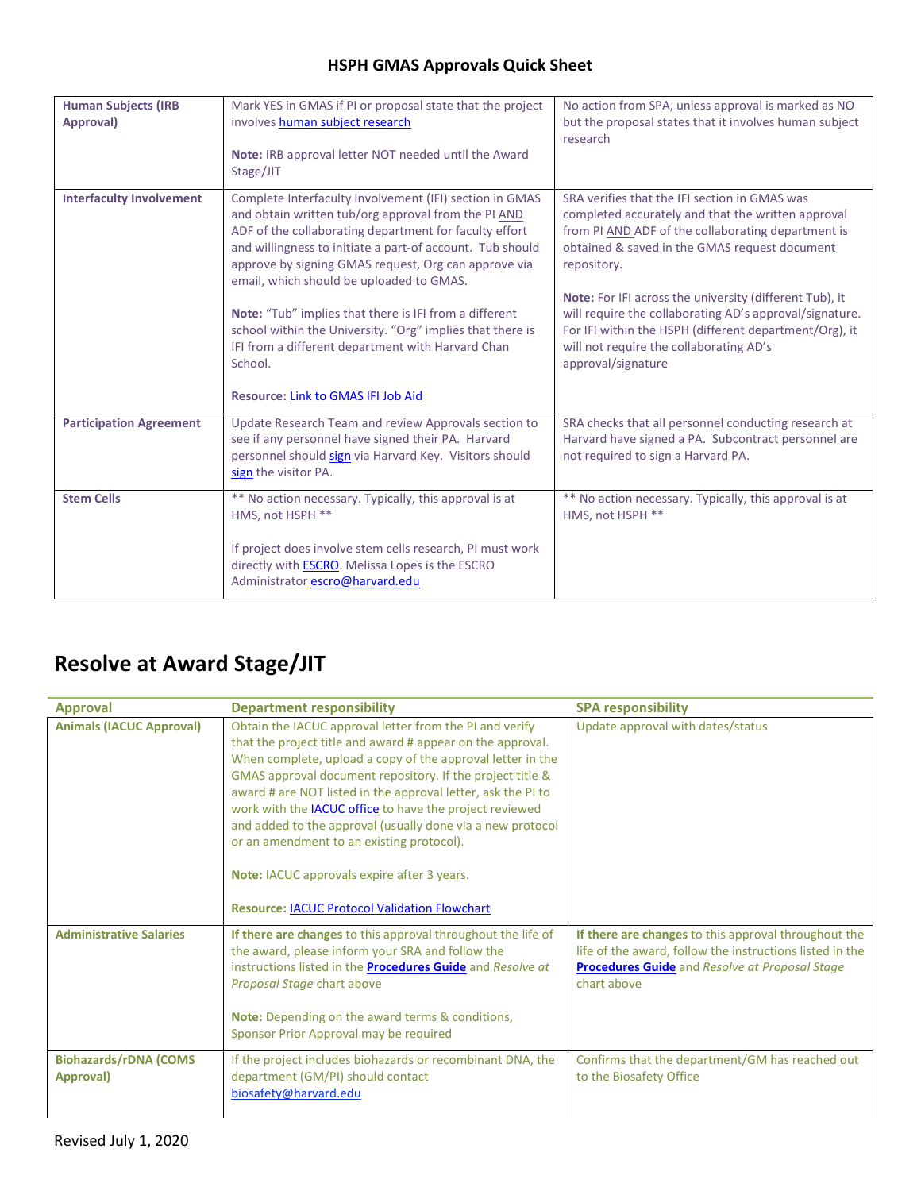| <b>Human Subjects (IRB</b><br>Approval) | Mark YES in GMAS if PI or proposal state that the project<br>involves human subject research<br>Note: IRB approval letter NOT needed until the Award<br>Stage/JIT                                                                                                                                                                                                                                                                                                                                                                                                      | No action from SPA, unless approval is marked as NO<br>but the proposal states that it involves human subject<br>research                                                                                                                                                                                                                                                                                                                                                  |
|-----------------------------------------|------------------------------------------------------------------------------------------------------------------------------------------------------------------------------------------------------------------------------------------------------------------------------------------------------------------------------------------------------------------------------------------------------------------------------------------------------------------------------------------------------------------------------------------------------------------------|----------------------------------------------------------------------------------------------------------------------------------------------------------------------------------------------------------------------------------------------------------------------------------------------------------------------------------------------------------------------------------------------------------------------------------------------------------------------------|
| <b>Interfaculty Involvement</b>         | Complete Interfaculty Involvement (IFI) section in GMAS<br>and obtain written tub/org approval from the PI AND<br>ADF of the collaborating department for faculty effort<br>and willingness to initiate a part-of account. Tub should<br>approve by signing GMAS request, Org can approve via<br>email, which should be uploaded to GMAS.<br>Note: "Tub" implies that there is IFI from a different<br>school within the University. "Org" implies that there is<br>IFI from a different department with Harvard Chan<br>School.<br>Resource: Link to GMAS IFI Job Aid | SRA verifies that the IFI section in GMAS was<br>completed accurately and that the written approval<br>from PI AND ADF of the collaborating department is<br>obtained & saved in the GMAS request document<br>repository.<br>Note: For IFI across the university (different Tub), it<br>will require the collaborating AD's approval/signature.<br>For IFI within the HSPH (different department/Org), it<br>will not require the collaborating AD's<br>approval/signature |
| <b>Participation Agreement</b>          | Update Research Team and review Approvals section to<br>see if any personnel have signed their PA. Harvard<br>personnel should sign via Harvard Key. Visitors should<br>sign the visitor PA.                                                                                                                                                                                                                                                                                                                                                                           | SRA checks that all personnel conducting research at<br>Harvard have signed a PA. Subcontract personnel are<br>not required to sign a Harvard PA.                                                                                                                                                                                                                                                                                                                          |
| <b>Stem Cells</b>                       | ** No action necessary. Typically, this approval is at<br>HMS, not HSPH **<br>If project does involve stem cells research, PI must work<br>directly with <b>ESCRO</b> . Melissa Lopes is the ESCRO<br>Administrator escro@harvard.edu                                                                                                                                                                                                                                                                                                                                  | ** No action necessary. Typically, this approval is at<br>HMS, not HSPH **                                                                                                                                                                                                                                                                                                                                                                                                 |

# **Resolve at Award Stage/JIT**

| <b>Approval</b>                           | <b>Department responsibility</b>                                                                                                                                                                                                                                                                                                                                                                                                                                                                                                                                                                     | <b>SPA responsibility</b>                                                                                                                                                                |
|-------------------------------------------|------------------------------------------------------------------------------------------------------------------------------------------------------------------------------------------------------------------------------------------------------------------------------------------------------------------------------------------------------------------------------------------------------------------------------------------------------------------------------------------------------------------------------------------------------------------------------------------------------|------------------------------------------------------------------------------------------------------------------------------------------------------------------------------------------|
| <b>Animals (IACUC Approval)</b>           | Obtain the IACUC approval letter from the PI and verify<br>that the project title and award # appear on the approval.<br>When complete, upload a copy of the approval letter in the<br>GMAS approval document repository. If the project title &<br>award # are NOT listed in the approval letter, ask the PI to<br>work with the <b>IACUC</b> office to have the project reviewed<br>and added to the approval (usually done via a new protocol<br>or an amendment to an existing protocol).<br>Note: IACUC approvals expire after 3 years.<br><b>Resource: IACUC Protocol Validation Flowchart</b> | Update approval with dates/status                                                                                                                                                        |
| <b>Administrative Salaries</b>            | If there are changes to this approval throughout the life of<br>the award, please inform your SRA and follow the<br>instructions listed in the <b>Procedures Guide</b> and Resolve at<br>Proposal Stage chart above<br>Note: Depending on the award terms & conditions,<br>Sponsor Prior Approval may be required                                                                                                                                                                                                                                                                                    | If there are changes to this approval throughout the<br>life of the award, follow the instructions listed in the<br><b>Procedures Guide</b> and Resolve at Proposal Stage<br>chart above |
| <b>Biohazards/rDNA (COMS</b><br>Approval) | If the project includes biohazards or recombinant DNA, the<br>department (GM/PI) should contact<br>biosafety@harvard.edu                                                                                                                                                                                                                                                                                                                                                                                                                                                                             | Confirms that the department/GM has reached out<br>to the Biosafety Office                                                                                                               |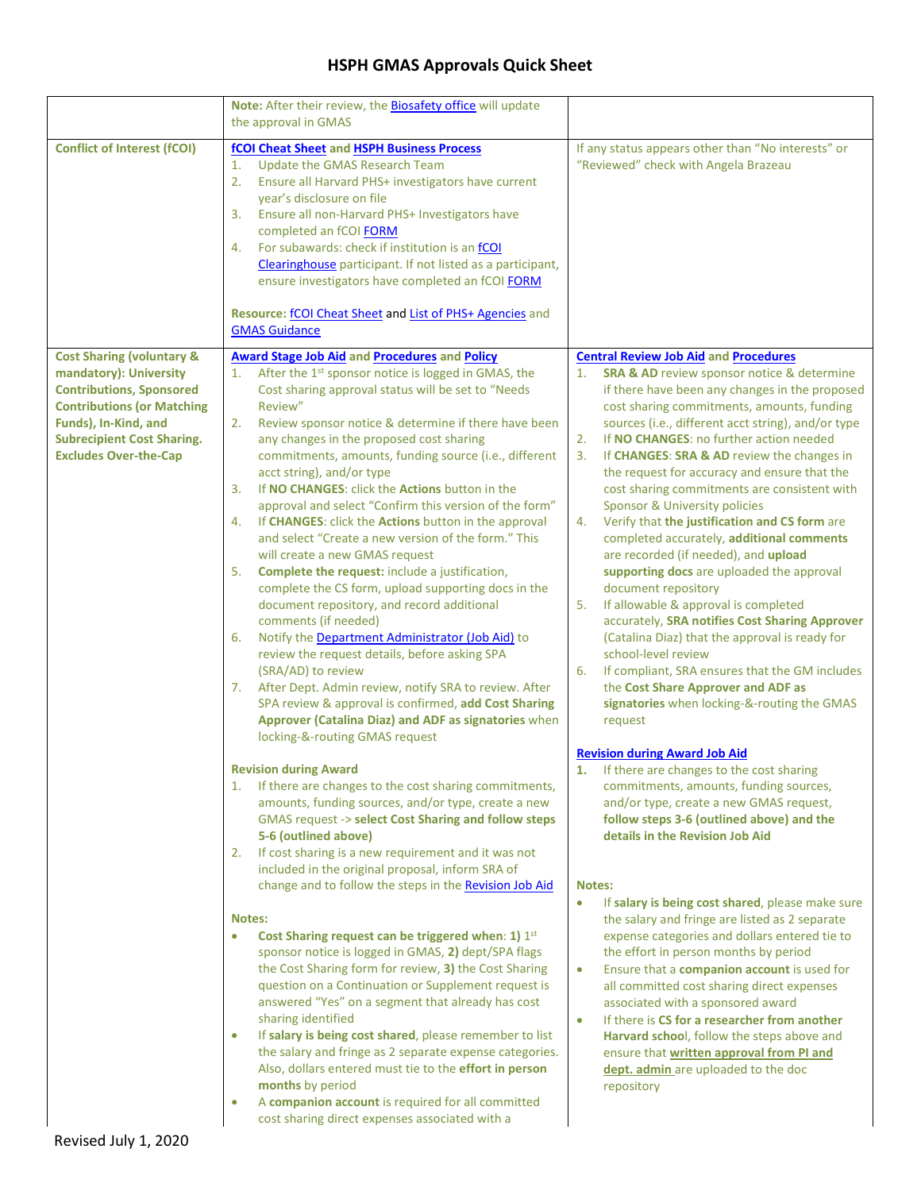|                                                                                                                                                                                                                                     | Note: After their review, the <b>Biosafety office</b> will update<br>the approval in GMAS                                                                                                                                                                                                                                                                                                                                                                                                                                                                                                                                                                                                                                                                                                                                                                                                                                                                                                                                                                                                                                                                                                        |                                                                                                                                                                                                                                                                                                                                                                                                                                                                                                                                                                                                                                                                                                                                                                                                                                                                                                                                                                                                                                                          |
|-------------------------------------------------------------------------------------------------------------------------------------------------------------------------------------------------------------------------------------|--------------------------------------------------------------------------------------------------------------------------------------------------------------------------------------------------------------------------------------------------------------------------------------------------------------------------------------------------------------------------------------------------------------------------------------------------------------------------------------------------------------------------------------------------------------------------------------------------------------------------------------------------------------------------------------------------------------------------------------------------------------------------------------------------------------------------------------------------------------------------------------------------------------------------------------------------------------------------------------------------------------------------------------------------------------------------------------------------------------------------------------------------------------------------------------------------|----------------------------------------------------------------------------------------------------------------------------------------------------------------------------------------------------------------------------------------------------------------------------------------------------------------------------------------------------------------------------------------------------------------------------------------------------------------------------------------------------------------------------------------------------------------------------------------------------------------------------------------------------------------------------------------------------------------------------------------------------------------------------------------------------------------------------------------------------------------------------------------------------------------------------------------------------------------------------------------------------------------------------------------------------------|
| <b>Conflict of Interest (fCOI)</b>                                                                                                                                                                                                  | fCOI Cheat Sheet and HSPH Business Process<br>1.<br>Update the GMAS Research Team<br>2.<br>Ensure all Harvard PHS+ investigators have current<br>year's disclosure on file<br>Ensure all non-Harvard PHS+ Investigators have<br>3.<br>completed an fCOI FORM<br>For subawards: check if institution is an fCOI<br>4.<br>Clearinghouse participant. If not listed as a participant,<br>ensure investigators have completed an fCOI FORM<br>Resource: fCOI Cheat Sheet and List of PHS+ Agencies and<br><b>GMAS Guidance</b>                                                                                                                                                                                                                                                                                                                                                                                                                                                                                                                                                                                                                                                                       | If any status appears other than "No interests" or<br>"Reviewed" check with Angela Brazeau                                                                                                                                                                                                                                                                                                                                                                                                                                                                                                                                                                                                                                                                                                                                                                                                                                                                                                                                                               |
| <b>Cost Sharing (voluntary &amp;</b><br>mandatory): University<br><b>Contributions, Sponsored</b><br><b>Contributions (or Matching</b><br>Funds), In-Kind, and<br><b>Subrecipient Cost Sharing.</b><br><b>Excludes Over-the-Cap</b> | <b>Award Stage Job Aid and Procedures and Policy</b><br>After the 1st sponsor notice is logged in GMAS, the<br>1.<br>Cost sharing approval status will be set to "Needs"<br>Review"<br>Review sponsor notice & determine if there have been<br>2.<br>any changes in the proposed cost sharing<br>commitments, amounts, funding source (i.e., different<br>acct string), and/or type<br>3.<br>If NO CHANGES: click the Actions button in the<br>approval and select "Confirm this version of the form"<br>If CHANGES: click the Actions button in the approval<br>4.<br>and select "Create a new version of the form." This<br>will create a new GMAS request<br>Complete the request: include a justification,<br>5.<br>complete the CS form, upload supporting docs in the<br>document repository, and record additional<br>comments (if needed)<br>Notify the Department Administrator (Job Aid) to<br>6.<br>review the request details, before asking SPA<br>(SRA/AD) to review<br>7. After Dept. Admin review, notify SRA to review. After<br>SPA review & approval is confirmed, add Cost Sharing<br>Approver (Catalina Diaz) and ADF as signatories when<br>locking-&-routing GMAS request | <b>Central Review Job Aid and Procedures</b><br><b>SRA &amp; AD</b> review sponsor notice & determine<br>1.<br>if there have been any changes in the proposed<br>cost sharing commitments, amounts, funding<br>sources (i.e., different acct string), and/or type<br>If NO CHANGES: no further action needed<br>2.<br>If CHANGES: SRA & AD review the changes in<br>3.<br>the request for accuracy and ensure that the<br>cost sharing commitments are consistent with<br>Sponsor & University policies<br>Verify that the justification and CS form are<br>4.<br>completed accurately, additional comments<br>are recorded (if needed), and upload<br>supporting docs are uploaded the approval<br>document repository<br>If allowable & approval is completed<br>5.<br>accurately, SRA notifies Cost Sharing Approver<br>(Catalina Diaz) that the approval is ready for<br>school-level review<br>If compliant, SRA ensures that the GM includes<br>6.<br>the Cost Share Approver and ADF as<br>signatories when locking-&-routing the GMAS<br>request |
|                                                                                                                                                                                                                                     | <b>Revision during Award</b><br>1. If there are changes to the cost sharing commitments,<br>amounts, funding sources, and/or type, create a new<br>GMAS request -> select Cost Sharing and follow steps<br>5-6 (outlined above)<br>If cost sharing is a new requirement and it was not<br>2.<br>included in the original proposal, inform SRA of<br>change and to follow the steps in the Revision Job Aid<br><b>Notes:</b><br>Cost Sharing request can be triggered when: 1) 1st<br>$\bullet$<br>sponsor notice is logged in GMAS, 2) dept/SPA flags<br>the Cost Sharing form for review, 3) the Cost Sharing<br>question on a Continuation or Supplement request is<br>answered "Yes" on a segment that already has cost<br>sharing identified<br>If salary is being cost shared, please remember to list<br>$\bullet$<br>the salary and fringe as 2 separate expense categories.<br>Also, dollars entered must tie to the effort in person<br>months by period<br>A companion account is required for all committed<br>$\bullet$<br>cost sharing direct expenses associated with a                                                                                                            | <b>Revision during Award Job Aid</b><br>If there are changes to the cost sharing<br>commitments, amounts, funding sources,<br>and/or type, create a new GMAS request,<br>follow steps 3-6 (outlined above) and the<br>details in the Revision Job Aid<br><b>Notes:</b><br>If salary is being cost shared, please make sure<br>$\bullet$<br>the salary and fringe are listed as 2 separate<br>expense categories and dollars entered tie to<br>the effort in person months by period<br>Ensure that a companion account is used for<br>$\bullet$<br>all committed cost sharing direct expenses<br>associated with a sponsored award<br>If there is CS for a researcher from another<br>$\bullet$<br>Harvard school, follow the steps above and<br>ensure that written approval from PI and<br>dept. admin are uploaded to the doc<br>repository                                                                                                                                                                                                           |